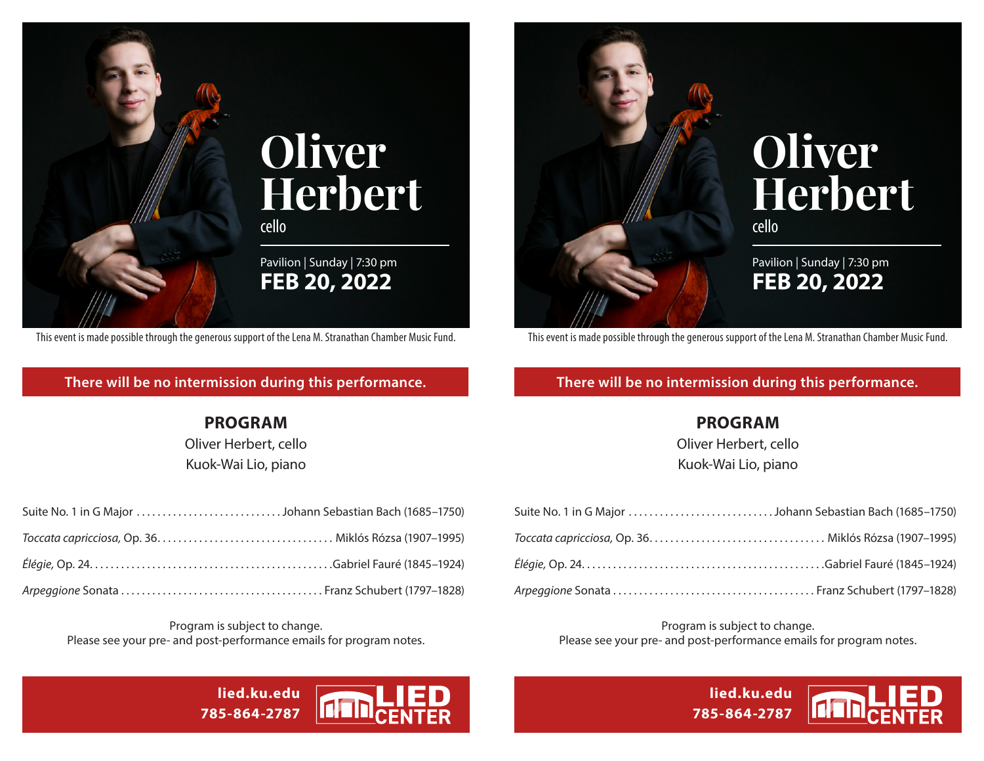

This event is made possible through the generous support of the Lena M. Stranathan Chamber Music Fund.

## **There will be no intermission during this performance.**

## **PROGRAM**

Oliver Herbert, cello Kuok-Wai Lio, piano

Program is subject to change. Please see your pre- and post-performance emails for program notes.

> **lied.ku.edu 785-864-2787**